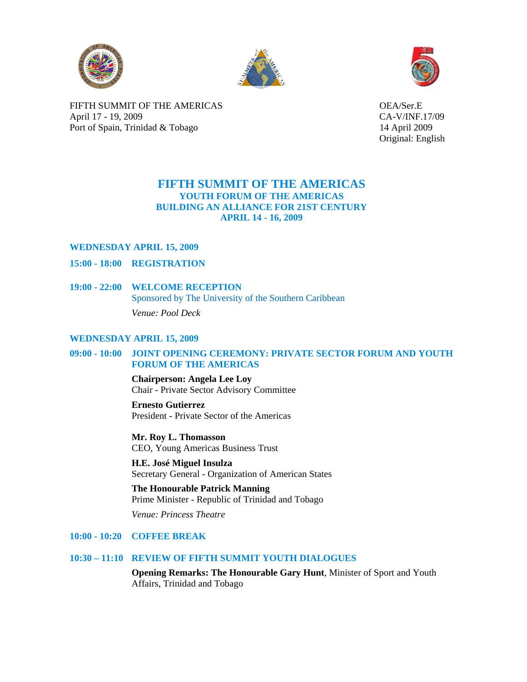





FIFTH SUMMIT OF THE AMERICAS OEA/Ser.E April 17 - 19, 2009 CA-V/INF.17/09 Port of Spain, Trinidad & Tobago 14 April 2009

Original: English

# **FIFTH SUMMIT OF THE AMERICAS YOUTH FORUM OF THE AMERICAS BUILDING AN ALLIANCE FOR 21ST CENTURY APRIL 14 - 16, 2009**

# **WEDNESDAY APRIL 15, 2009**

- **15:00 18:00 REGISTRATION**
- **19:00 22:00 WELCOME RECEPTION** Sponsored by The University of the Southern Caribbean  *Venue: Pool Deck*

# **WEDNESDAY APRIL 15, 2009**

# **09:00 - 10:00 JOINT OPENING CEREMONY: PRIVATE SECTOR FORUM AND YOUTH FORUM OF THE AMERICAS**

 **Chairperson: Angela Lee Loy** Chair - Private Sector Advisory Committee

 **Ernesto Gutierrez** President - Private Sector of the Americas

 **Mr. Roy L. Thomasson**  CEO, Young Americas Business Trust

 **H.E. José Miguel Insulza**  Secretary General - Organization of American States

 **The Honourable Patrick Manning**  Prime Minister - Republic of Trinidad and Tobago

 *Venue: Princess Theatre* 

### **10:00 - 10:20 COFFEE BREAK**

# **10:30 – 11:10 REVIEW OF FIFTH SUMMIT YOUTH DIALOGUES**

**Opening Remarks: The Honourable Gary Hunt**, Minister of Sport and Youth Affairs, Trinidad and Tobago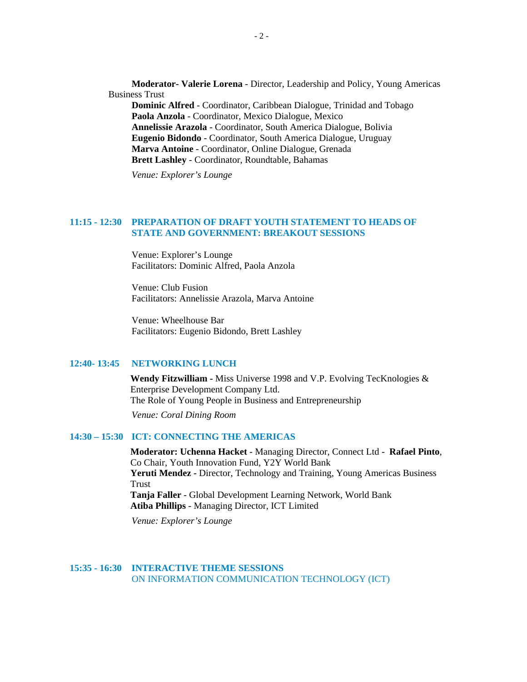**Moderator- Valerie Lorena** - Director, Leadership and Policy, Young Americas Business Trust

**Dominic Alfred** - Coordinator, Caribbean Dialogue, Trinidad and Tobago **Paola Anzola** - Coordinator, Mexico Dialogue, Mexico **Annelissie Arazola** - Coordinator, South America Dialogue, Bolivia **Eugenio Bidondo** - Coordinator, South America Dialogue, Uruguay **Marva Antoine** - Coordinator, Online Dialogue, Grenada **Brett Lashley** - Coordinator, Roundtable, Bahamas

 *Venue: Explorer's Lounge* 

## **11:15 - 12:30 PREPARATION OF DRAFT YOUTH STATEMENT TO HEADS OF STATE AND GOVERNMENT: BREAKOUT SESSIONS**

Venue: Explorer's Lounge Facilitators: Dominic Alfred, Paola Anzola

Venue: Club Fusion Facilitators: Annelissie Arazola, Marva Antoine

Venue: Wheelhouse Bar Facilitators: Eugenio Bidondo, Brett Lashley

#### **12:40- 13:45 NETWORKING LUNCH**

**Wendy Fitzwilliam -** Miss Universe 1998 and V.P. Evolving TecKnologies & Enterprise Development Company Ltd. The Role of Young People in Business and Entrepreneurship

 *Venue: Coral Dining Room* 

# **14:30 – 15:30 ICT: CONNECTING THE AMERICAS**

**Moderator: Uchenna Hacket** - Managing Director, Connect Ltd - **Rafael Pinto**, Co Chair, Youth Innovation Fund, Y2Y World Bank **Yeruti Mendez -** Director, Technology and Training, Young Americas Business Trust **Tanja Faller** - Global Development Learning Network, World Bank **Atiba Phillips** - Managing Director, ICT Limited

 *Venue: Explorer's Lounge* 

**15:35 - 16:30 INTERACTIVE THEME SESSIONS**  ON INFORMATION COMMUNICATION TECHNOLOGY (ICT)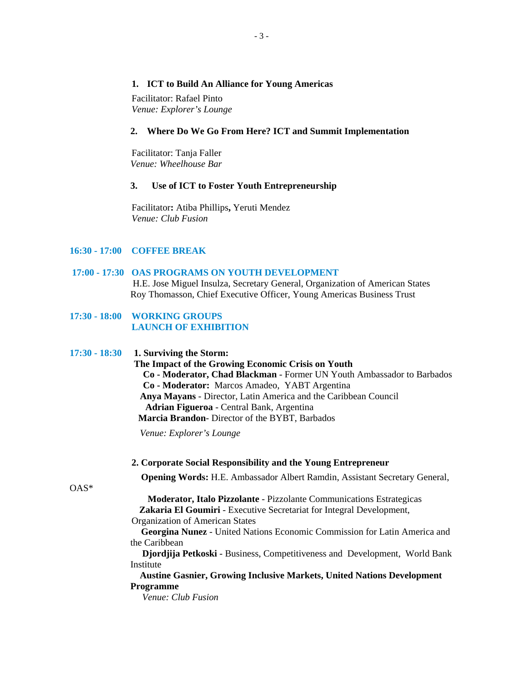### **1. ICT to Build An Alliance for Young Americas**

Facilitator: Rafael Pinto  *Venue: Explorer's Lounge* 

### **2. Where Do We Go From Here? ICT and Summit Implementation**

Facilitator: Tanja Faller *Venue: Wheelhouse Bar*

# **3. Use of ICT to Foster Youth Entrepreneurship**

Facilitator**:** Atiba Phillips**,** Yeruti Mendez *Venue: Club Fusion*

### **16:30 - 17:00 COFFEE BREAK**

### **17:00 - 17:30 OAS PROGRAMS ON YOUTH DEVELOPMENT**

H.E. Jose Miguel Insulza, Secretary General, Organization of American States Roy Thomasson, Chief Executive Officer, Young Americas Business Trust

# **17:30 - 18:00 WORKING GROUPS LAUNCH OF EXHIBITION**

### **17:30 - 18:30 1. Surviving the Storm:**

 **The Impact of the Growing Economic Crisis on Youth Co - Moderator, Chad Blackman** - Former UN Youth Ambassador to Barbados **Co - Moderator:** Marcos Amadeo, YABT Argentina **Anya Mayans** - Director, Latin America and the Caribbean Council  **Adrian Figueroa** - Central Bank, Argentina  **Marcia Brandon**- Director of the BYBT, Barbados

 *Venue: Explorer's Lounge* 

#### **2. Corporate Social Responsibility and the Young Entrepreneur**

**Opening Words:** H.E. Ambassador Albert Ramdin, Assistant Secretary General,

OAS\*

 **Moderator, Italo Pizzolante** - Pizzolante Communications Estrategicas **Zakaria El Goumiri** - Executive Secretariat for Integral Development,

Organization of American States

 **Georgina Nunez** - United Nations Economic Commission for Latin America and the Caribbean

 **Djordjija Petkoski** - Business, Competitiveness and Development, World Bank Institute

## **Austine Gasnier, Growing Inclusive Markets, United Nations Development Programme**

 *Venue: Club Fusion*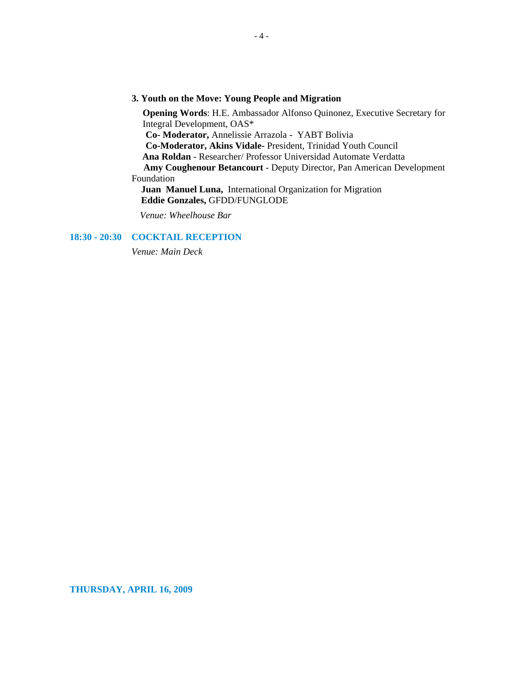### **3. Youth on the Move: Young People and Migration**

**Opening Words**: H.E. Ambassador Alfonso Quinonez, Executive Secretary for Integral Development, OAS\* **Co- Moderator,** Annelissie Arrazola - YABT Bolivia  **Co-Moderator, Akins Vidale-** President, Trinidad Youth Council **Ana Roldan** - Researcher/ Professor Universidad Automate Verdatta **Amy Coughenour Betancourt** - Deputy Director, Pan American Development Foundation **Juan Manuel Luna,** International Organization for Migration  **Eddie Gonzales,** GFDD/FUNGLODE

 *Venue: Wheelhouse Bar* 

# **18:30 - 20:30 COCKTAIL RECEPTION**

 *Venue: Main Deck*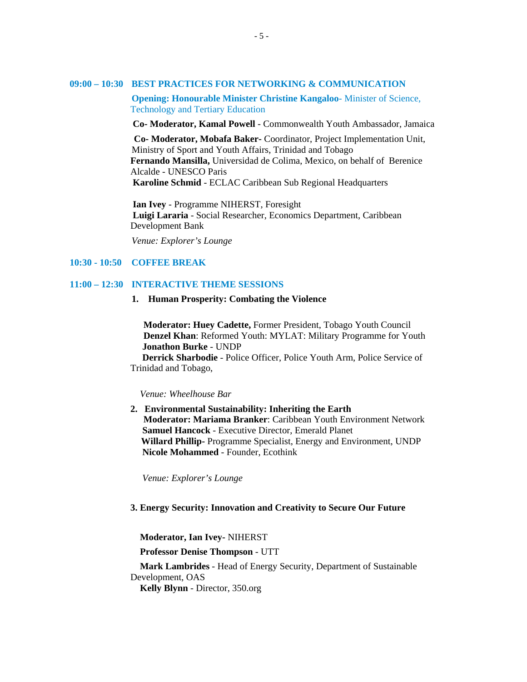#### **09:00 – 10:30 BEST PRACTICES FOR NETWORKING & COMMUNICATION**

**Opening: Honourable Minister Christine Kangaloo**- Minister of Science, Technology and Tertiary Education

 **Co- Moderator, Kamal Powell** - Commonwealth Youth Ambassador, Jamaica

 **Co- Moderator, Mobafa Baker-** Coordinator, Project Implementation Unit, Ministry of Sport and Youth Affairs, Trinidad and Tobago **Fernando Mansilla,** Universidad de Colima, Mexico, on behalf of Berenice Alcalde - UNESCO Paris  **Karoline Schmid** - ECLAC Caribbean Sub Regional Headquarters

 **Ian Ivey** - Programme NIHERST, Foresight  **Luigi Lararia** - Social Researcher, Economics Department, Caribbean Development Bank

 *Venue: Explorer's Lounge* 

### **10:30 - 10:50 COFFEE BREAK**

## **11:00 – 12:30 INTERACTIVE THEME SESSIONS**

#### **1. Human Prosperity: Combating the Violence**

 **Moderator: Huey Cadette,** Former President, Tobago Youth Council  **Denzel Khan**: Reformed Youth: MYLAT: Military Programme for Youth **Jonathon Burke** - UNDP

 **Derrick Sharbodie** - Police Officer, Police Youth Arm, Police Service of Trinidad and Tobago,

#### *Venue: Wheelhouse Bar*

**2. Environmental Sustainability: Inheriting the Earth Moderator: Mariama Branker**: Caribbean Youth Environment Network **Samuel Hancock** - Executive Director, Emerald Planet  **Willard Phillip-** Programme Specialist, Energy and Environment, UNDP **Nicole Mohammed** - Founder, Ecothink

 *Venue: Explorer's Lounge* 

### **3. Energy Security: Innovation and Creativity to Secure Our Future**

 **Moderator, Ian Ivey-** NIHERST

 **Professor Denise Thompson** - UTT

 **Mark Lambrides** - Head of Energy Security, Department of Sustainable Development, OAS **Kelly Blynn** - Director, 350.org